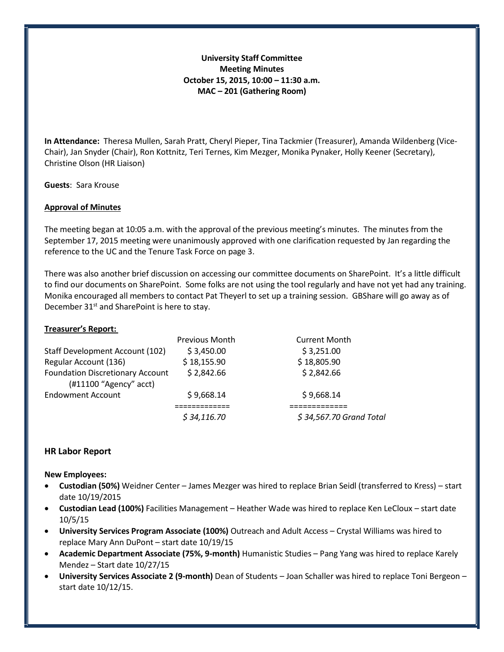# **University Staff Committee Meeting Minutes October 15, 2015, 10:00 – 11:30 a.m. MAC – 201 (Gathering Room)**

**In Attendance:** Theresa Mullen, Sarah Pratt, Cheryl Pieper, Tina Tackmier (Treasurer), Amanda Wildenberg (Vice-Chair), Jan Snyder (Chair), Ron Kottnitz, Teri Ternes, Kim Mezger, Monika Pynaker, Holly Keener (Secretary), Christine Olson (HR Liaison)

**Guests**: Sara Krouse

### **Approval of Minutes**

The meeting began at 10:05 a.m. with the approval of the previous meeting's minutes. The minutes from the September 17, 2015 meeting were unanimously approved with one clarification requested by Jan regarding the reference to the UC and the Tenure Task Force on page 3.

There was also another brief discussion on accessing our committee documents on SharePoint. It's a little difficult to find our documents on SharePoint. Some folks are not using the tool regularly and have not yet had any training. Monika encouraged all members to contact Pat Theyerl to set up a training session. GBShare will go away as of December 31<sup>st</sup> and SharePoint is here to stay.

### **Treasurer's Report:**

|                                                                   | <b>Previous Month</b> | <b>Current Month</b>    |
|-------------------------------------------------------------------|-----------------------|-------------------------|
| Staff Development Account (102)                                   | \$3,450.00            | \$3,251.00              |
| Regular Account (136)                                             | \$18,155.90           | \$18,805.90             |
| <b>Foundation Discretionary Account</b><br>(#11100 "Agency" acct) | \$2,842.66            | \$2,842.66              |
| <b>Endowment Account</b>                                          | \$9,668.14            | \$9,668.14              |
|                                                                   |                       |                         |
|                                                                   | \$34,116.70           | \$34,567.70 Grand Total |

# **HR Labor Report**

### **New Employees:**

- **Custodian (50%)** Weidner Center James Mezger was hired to replace Brian Seidl (transferred to Kress) start date 10/19/2015
- **Custodian Lead (100%)** Facilities Management Heather Wade was hired to replace Ken LeCloux start date 10/5/15
- **University Services Program Associate (100%)** Outreach and Adult Access Crystal Williams was hired to replace Mary Ann DuPont – start date 10/19/15
- **Academic Department Associate (75%, 9-month)** Humanistic Studies Pang Yang was hired to replace Karely Mendez – Start date 10/27/15
- **University Services Associate 2 (9-month)** Dean of Students Joan Schaller was hired to replace Toni Bergeon start date 10/12/15.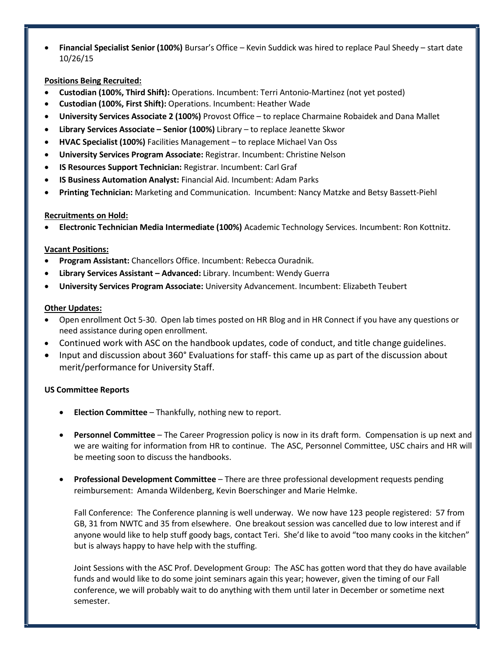• **Financial Specialist Senior (100%)** Bursar's Office – Kevin Suddick was hired to replace Paul Sheedy – start date 10/26/15

## **Positions Being Recruited:**

- **Custodian (100%, Third Shift):** Operations. Incumbent: Terri Antonio-Martinez (not yet posted)
- **Custodian (100%, First Shift):** Operations. Incumbent: Heather Wade
- **University Services Associate 2 (100%)** Provost Office to replace Charmaine Robaidek and Dana Mallet
- **Library Services Associate – Senior (100%)** Library to replace Jeanette Skwor
- **HVAC Specialist (100%)** Facilities Management to replace Michael Van Oss
- **University Services Program Associate:** Registrar. Incumbent: Christine Nelson
- **IS Resources Support Technician:** Registrar. Incumbent: Carl Graf
- **IS Business Automation Analyst:** Financial Aid. Incumbent: Adam Parks
- **Printing Technician:** Marketing and Communication. Incumbent: Nancy Matzke and Betsy Bassett-Piehl

### **Recruitments on Hold:**

• **Electronic Technician Media Intermediate (100%)** Academic Technology Services. Incumbent: Ron Kottnitz.

### **Vacant Positions:**

- **Program Assistant:** Chancellors Office. Incumbent: Rebecca Ouradnik.
- **Library Services Assistant – Advanced:** Library. Incumbent: Wendy Guerra
- **University Services Program Associate:** University Advancement. Incumbent: Elizabeth Teubert

### **Other Updates:**

- Open enrollment Oct 5-30. Open lab times posted on HR Blog and in HR Connect if you have any questions or need assistance during open enrollment.
- Continued work with ASC on the handbook updates, code of conduct, and title change guidelines.
- Input and discussion about 360° Evaluations for staff- this came up as part of the discussion about merit/performance for University Staff.

# **US Committee Reports**

- **Election Committee**  Thankfully, nothing new to report.
- **Personnel Committee**  The Career Progression policy is now in its draft form. Compensation is up next and we are waiting for information from HR to continue. The ASC, Personnel Committee, USC chairs and HR will be meeting soon to discuss the handbooks.
- **Professional Development Committee**  There are three professional development requests pending reimbursement: Amanda Wildenberg, Kevin Boerschinger and Marie Helmke.

Fall Conference: The Conference planning is well underway. We now have 123 people registered: 57 from GB, 31 from NWTC and 35 from elsewhere. One breakout session was cancelled due to low interest and if anyone would like to help stuff goody bags, contact Teri. She'd like to avoid "too many cooks in the kitchen" but is always happy to have help with the stuffing.

Joint Sessions with the ASC Prof. Development Group: The ASC has gotten word that they do have available funds and would like to do some joint seminars again this year; however, given the timing of our Fall conference, we will probably wait to do anything with them until later in December or sometime next semester.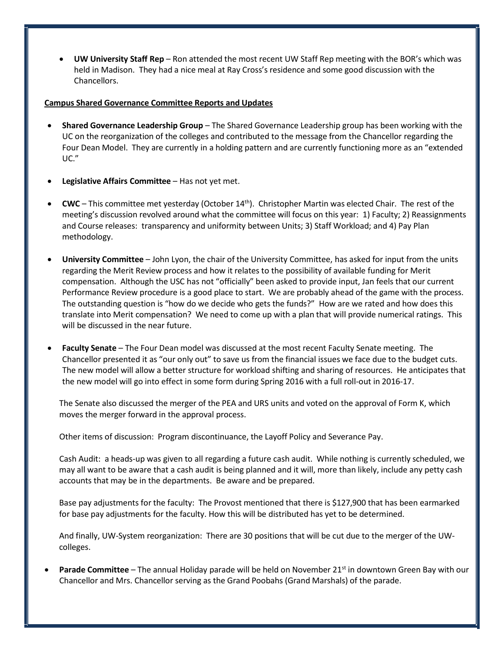• **UW University Staff Rep** – Ron attended the most recent UW Staff Rep meeting with the BOR's which was held in Madison. They had a nice meal at Ray Cross's residence and some good discussion with the Chancellors.

#### **Campus Shared Governance Committee Reports and Updates**

- **Shared Governance Leadership Group** The Shared Governance Leadership group has been working with the UC on the reorganization of the colleges and contributed to the message from the Chancellor regarding the Four Dean Model. They are currently in a holding pattern and are currently functioning more as an "extended UC."
- **Legislative Affairs Committee** Has not yet met.
- **CWC** This committee met yesterday (October 14th). Christopher Martin was elected Chair. The rest of the meeting's discussion revolved around what the committee will focus on this year: 1) Faculty; 2) Reassignments and Course releases: transparency and uniformity between Units; 3) Staff Workload; and 4) Pay Plan methodology.
- **University Committee** John Lyon, the chair of the University Committee, has asked for input from the units regarding the Merit Review process and how it relates to the possibility of available funding for Merit compensation. Although the USC has not "officially" been asked to provide input, Jan feels that our current Performance Review procedure is a good place to start. We are probably ahead of the game with the process. The outstanding question is "how do we decide who gets the funds?" How are we rated and how does this translate into Merit compensation? We need to come up with a plan that will provide numerical ratings. This will be discussed in the near future.
- **Faculty Senate** The Four Dean model was discussed at the most recent Faculty Senate meeting. The Chancellor presented it as "our only out" to save us from the financial issues we face due to the budget cuts. The new model will allow a better structure for workload shifting and sharing of resources. He anticipates that the new model will go into effect in some form during Spring 2016 with a full roll-out in 2016-17.

The Senate also discussed the merger of the PEA and URS units and voted on the approval of Form K, which moves the merger forward in the approval process.

Other items of discussion: Program discontinuance, the Layoff Policy and Severance Pay.

Cash Audit: a heads-up was given to all regarding a future cash audit. While nothing is currently scheduled, we may all want to be aware that a cash audit is being planned and it will, more than likely, include any petty cash accounts that may be in the departments. Be aware and be prepared.

Base pay adjustments for the faculty: The Provost mentioned that there is \$127,900 that has been earmarked for base pay adjustments for the faculty. How this will be distributed has yet to be determined.

And finally, UW-System reorganization: There are 30 positions that will be cut due to the merger of the UWcolleges.

Parade Committee - The annual Holiday parade will be held on November 21<sup>st</sup> in downtown Green Bay with our Chancellor and Mrs. Chancellor serving as the Grand Poobahs (Grand Marshals) of the parade.